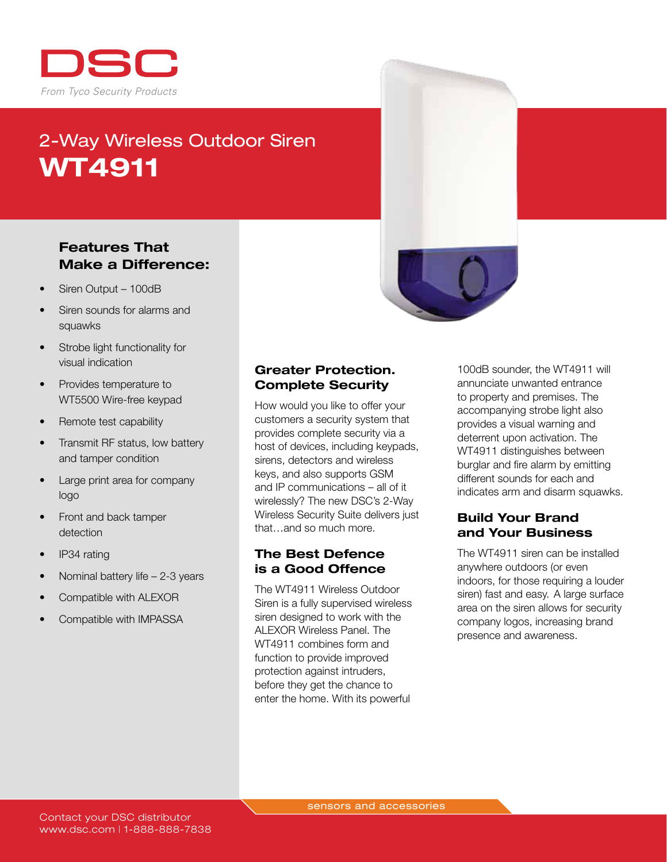

# 2-Way Wireless Outdoor Siren WT4911

### Features That Make a Difference:

- Siren Output 100dB
- Siren sounds for alarms and squawks
- Strobe light functionality for visual indication
- Provides temperature to WT5500 Wire-free keypad
- Remote test capability
- Transmit RF status, low battery and tamper condition
- Large print area for company logo
- Front and back tamper detection
- IP34 rating
- Nominal battery life  $-2-3$  years
- Compatible with ALEXOR
- Compatible with IMPASSA

#### Greater Protection. Complete Security

How would you like to offer your customers a security system that provides complete security via a host of devices, including keypads, sirens, detectors and wireless keys, and also supports GSM and IP communications – all of it wirelessly? The new DSC's 2-Way Wireless Security Suite delivers just that…and so much more.

#### The Best Defence is a Good Offence

The WT4911 Wireless Outdoor Siren is a fully supervised wireless siren designed to work with the ALEXOR Wireless Panel. The WT4911 combines form and function to provide improved protection against intruders, before they get the chance to enter the home. With its powerful

100dB sounder, the WT4911 will annunciate unwanted entrance to property and premises. The accompanying strobe light also provides a visual warning and deterrent upon activation. The WT4911 distinguishes between burglar and fire alarm by emitting different sounds for each and indicates arm and disarm squawks.

#### Build Your Brand and Your Business

The WT4911 siren can be installed anywhere outdoors (or even indoors, for those requiring a louder siren) fast and easy.  A large surface area on the siren allows for security company logos, increasing brand presence and awareness.